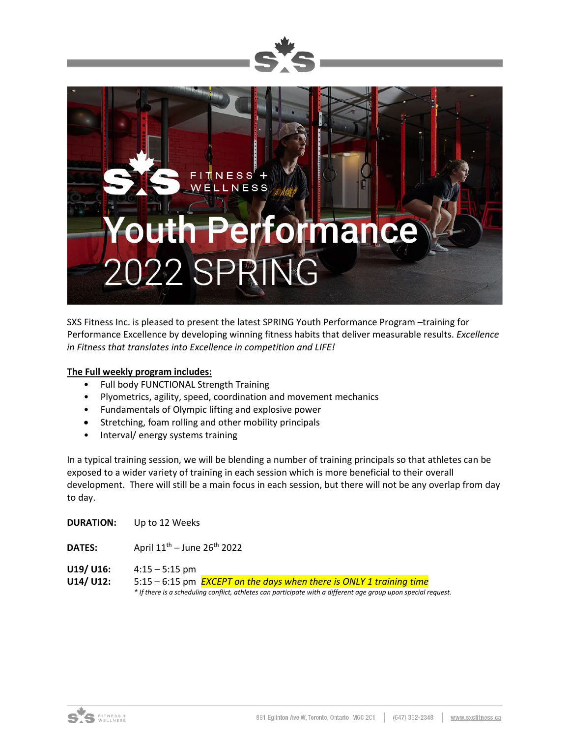



SXS Fitness Inc. is pleased to present the latest SPRING Youth Performance Program –training for Performance Excellence by developing winning fitness habits that deliver measurable results. *Excellence in Fitness that translates into Excellence in competition and LIFE!*

#### **The Full weekly program includes:**

- Full body FUNCTIONAL Strength Training
- Plyometrics, agility, speed, coordination and movement mechanics
- Fundamentals of Olympic lifting and explosive power
- Stretching, foam rolling and other mobility principals
- Interval/ energy systems training

In a typical training session, we will be blending a number of training principals so that athletes can be exposed to a wider variety of training in each session which is more beneficial to their overall development. There will still be a main focus in each session, but there will not be any overlap from day to day.

| <b>DURATION:</b>       | Up to 12 Weeks                                                                                                                                                                                                    |  |  |  |  |
|------------------------|-------------------------------------------------------------------------------------------------------------------------------------------------------------------------------------------------------------------|--|--|--|--|
| <b>DATES:</b>          | April $11^{th}$ – June $26^{th}$ 2022                                                                                                                                                                             |  |  |  |  |
| U19/ U16:<br>U14/ U12: | $4:15 - 5:15$ pm<br>5:15 – 6:15 pm <b>EXCEPT on the days when there is ONLY 1 training time</b><br>* If there is a scheduling conflict, athletes can participate with a different age group upon special request. |  |  |  |  |

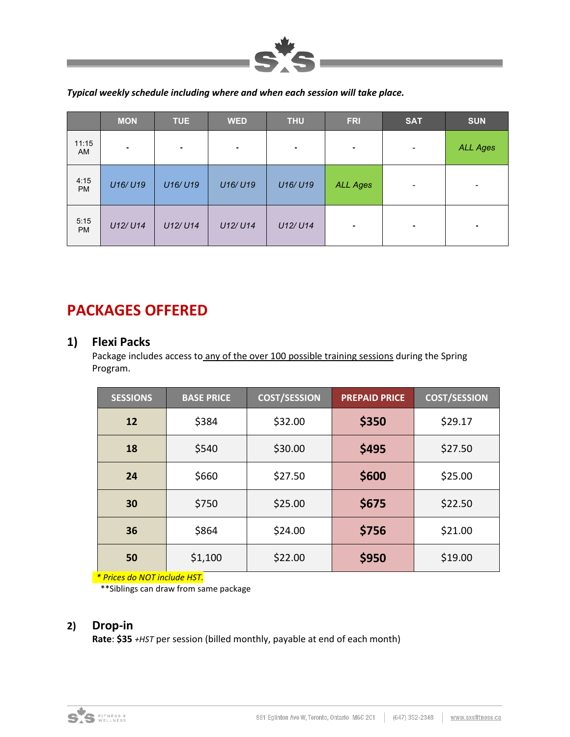

*Typical weekly schedule including where and when each session will take place.*

|                    | <b>MON</b> | <b>TUE</b> | <b>WED</b> | <b>THU</b> | <b>FRI</b>      | <b>SAT</b>                                                                                                                                        | <b>SUN</b>      |
|--------------------|------------|------------|------------|------------|-----------------|---------------------------------------------------------------------------------------------------------------------------------------------------|-----------------|
| 11:15<br><b>AM</b> | ٠          | ۰          | ٠          | ٠          | $\sim$          | $\hskip1.6pt\hskip1.6pt\hskip1.6pt\hskip1.6pt\hskip1.6pt\hskip1.6pt\hskip1.6pt\hskip1.6pt\hskip1.6pt\hskip1.6pt\hskip1.6pt\hskip1.6pt\hskip1.6pt$ | <b>ALL Ages</b> |
| 4:15<br><b>PM</b>  | U16/U19    | U16/U19    | U16/U19    | U16/U19    | <b>ALL Ages</b> | $\qquad \qquad$                                                                                                                                   | $\,$            |
| 5:15<br><b>PM</b>  | U12/U14    | U12/U14    | U12/U14    | U12/U14    | $\blacksquare$  | ٠                                                                                                                                                 | ۰               |

# **PACKAGES OFFERED**

#### **1) Flexi Packs**

Package includes access to any of the over 100 possible training sessions during the Spring Program.

| <b>SESSIONS</b> | <b>BASE PRICE</b> | <b>COST/SESSION</b> | <b>PREPAID PRICE</b> | <b>COST/SESSION</b> |
|-----------------|-------------------|---------------------|----------------------|---------------------|
| 12              | \$384             | \$32.00             | \$350                | \$29.17             |
| 18              | \$540             | \$30.00             | \$495                | \$27.50             |
| 24              | \$660             | \$27.50             | \$600                | \$25.00             |
| 30              | \$750             | \$25.00             | \$675                | \$22.50             |
| 36              | \$864             | \$24.00             | \$756                | \$21.00             |
| 50              | \$1,100           | \$22.00             | \$950                | \$19.00             |

 *\* Prices do NOT include HST.*

\*\*Siblings can draw from same package

### **2) Drop-in**

**Rate**: **\$35** *+HST* per session (billed monthly, payable at end of each month)